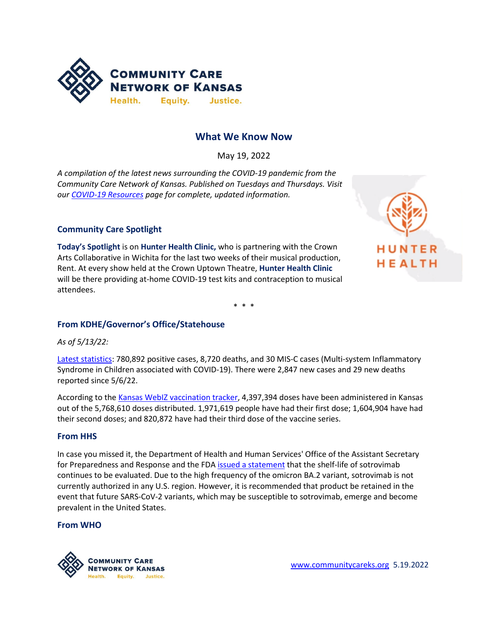

# **What We Know Now**

May 19, 2022

*A compilation of the latest news surrounding the COVID-19 pandemic from the Community Care Network of Kansas. Published on Tuesdays and Thursdays. Visit ou[r COVID-19 Resources](https://www.communitycareks.org/covid-19-2019-novel-coronavirus/) page for complete, updated information.*

### **Community Care Spotlight**

**Today's Spotlight** is on **Hunter Health Clinic,** who is partnering with the Crown Arts Collaborative in Wichita for the last two weeks of their musical production, Rent. At every show held at the Crown Uptown Theatre, **Hunter Health Clinic** will be there providing at-home COVID-19 test kits and contraception to musical attendees.



\* \* \*

### **From KDHE/Governor's Office/Statehouse**

*As of 5/13/22:*

[Latest statistics:](https://www.coronavirus.kdheks.gov/160/COVID-19-in-Kansas) 780,892 positive cases, 8,720 deaths, and 30 MIS-C cases (Multi-system Inflammatory Syndrome in Children associated with COVID-19). There were 2,847 new cases and 29 new deaths reported since 5/6/22.

According to th[e Kansas WebIZ vaccination tracker,](https://www.kansasvaccine.gov/158/Data) 4,397,394 doses have been administered in Kansas out of the 5,768,610 doses distributed. 1,971,619 people have had their first dose; 1,604,904 have had their second doses; and 820,872 have had their third dose of the vaccine series.

### **From HHS**

In case you missed it, the Department of Health and Human Services' Office of the Assistant Secretary for Preparedness and Response and the FDA [issued a statement](https://aspr.hhs.gov/COVID-19/Therapeutics/updates/Pages/important-update-12May2022.aspx) that the shelf-life of sotrovimab continues to be evaluated. Due to the high frequency of the omicron BA.2 variant, sotrovimab is not currently authorized in any U.S. region. However, it is recommended that product be retained in the event that future SARS-CoV-2 variants, which may be susceptible to sotrovimab, emerge and become prevalent in the United States.

#### **From WHO**